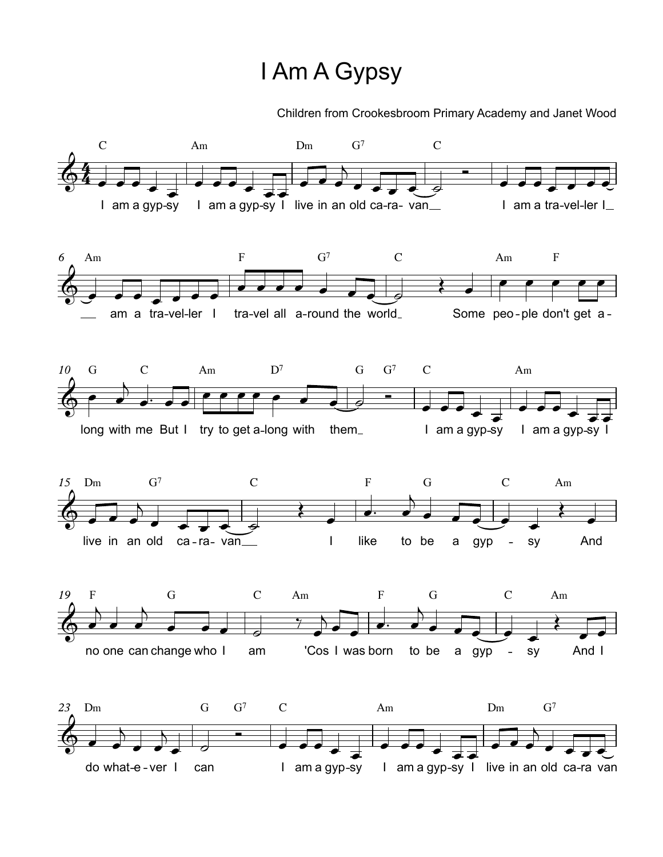## I Am AGypsy

Children from Crookesbroom Primary Academy and Janet Wood